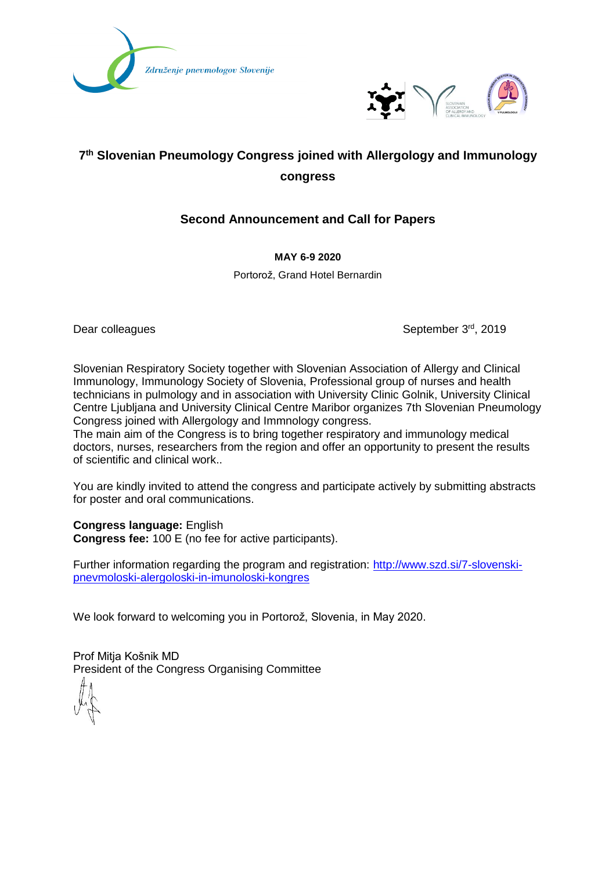



# **7 th Slovenian Pneumology Congress joined with Allergology and Immunology congress**

# **Second Announcement and Call for Papers**

**MAY 6-9 2020**

Portorož, Grand Hotel Bernardin

Dear colleagues

September 3rd, 2019

Slovenian Respiratory Society together with Slovenian Association of Allergy and Clinical Immunology, Immunology Society of Slovenia, Professional group of nurses and health technicians in pulmology and in association with University Clinic Golnik, University Clinical Centre Ljubljana and University Clinical Centre Maribor organizes 7th Slovenian Pneumology Congress joined with Allergology and Immnology congress.

The main aim of the Congress is to bring together respiratory and immunology medical doctors, nurses, researchers from the region and offer an opportunity to present the results of scientific and clinical work..

You are kindly invited to attend the congress and participate actively by submitting abstracts for poster and oral communications.

**Congress language:** English **Congress fee:** 100 E (no fee for active participants).

Further information regarding the program and registration: [http://www.szd.si/7-slovenski](http://www.szd.si/7-slovenski-pnevmoloski-alergoloski-in-imunoloski-kongres)[pnevmoloski-alergoloski-in-imunoloski-kongres](http://www.szd.si/7-slovenski-pnevmoloski-alergoloski-in-imunoloski-kongres)

We look forward to welcoming you in Portorož, Slovenia, in May 2020.

Prof Mitja Košnik MD President of the Congress Organising Committee